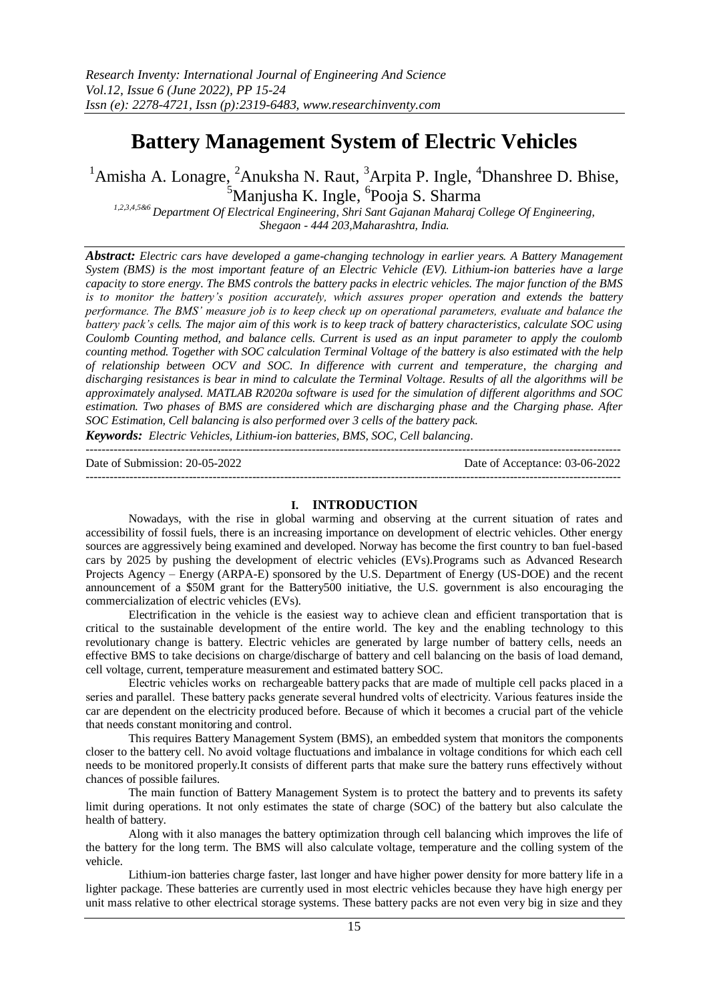# **Battery Management System of Electric Vehicles**

<sup>1</sup>Amisha A. Lonagre, <sup>2</sup>Anuksha N. Raut, <sup>3</sup>Arpita P. Ingle, <sup>4</sup>Dhanshree D. Bhise, <sup>5</sup>Manjusha K. Ingle, <sup>6</sup>Pooja S. Sharma

*1,2,3,4,5&6 Department Of Electrical Engineering, Shri Sant Gajanan Maharaj College Of Engineering, Shegaon - 444 203,Maharashtra, India.*

*Abstract: Electric cars have developed a game-changing technology in earlier years. A Battery Management System (BMS) is the most important feature of an Electric Vehicle (EV). Lithium-ion batteries have a large capacity to store energy. The BMS controls the battery packs in electric vehicles. The major function of the BMS is to monitor the battery's position accurately, which assures proper operation and extends the battery performance. The BMS' measure job is to keep check up on operational parameters, evaluate and balance the battery pack's cells. The major aim of this work is to keep track of battery characteristics, calculate SOC using Coulomb Counting method, and balance cells. Current is used as an input parameter to apply the coulomb counting method. Together with SOC calculation Terminal Voltage of the battery is also estimated with the help of relationship between OCV and SOC. In difference with current and temperature, the charging and discharging resistances is bear in mind to calculate the Terminal Voltage. Results of all the algorithms will be approximately analysed. MATLAB R2020a software is used for the simulation of different algorithms and SOC estimation. Two phases of BMS are considered which are discharging phase and the Charging phase. After SOC Estimation, Cell balancing is also performed over 3 cells of the battery pack.*

*Keywords: Electric Vehicles, Lithium-ion batteries, BMS, SOC, Cell balancing.* ---------------------------------------------------------------------------------------------------------------------------------------

Date of Submission: 20-05-2022 Date of Acceptance: 03-06-2022 ---------------------------------------------------------------------------------------------------------------------------------------

## **I. INTRODUCTION**

Nowadays, with the rise in global warming and observing at the current situation of rates and accessibility of fossil fuels, there is an increasing importance on development of electric vehicles. Other energy sources are aggressively being examined and developed. Norway has become the first country to ban fuel-based cars by 2025 by pushing the development of electric vehicles (EVs).Programs such as Advanced Research Projects Agency – Energy (ARPA-E) sponsored by the U.S. Department of Energy (US-DOE) and the recent announcement of a \$50M grant for the Battery500 initiative, the U.S. government is also encouraging the commercialization of electric vehicles (EVs).

Electrification in the vehicle is the easiest way to achieve clean and efficient transportation that is critical to the sustainable development of the entire world. The key and the enabling technology to this revolutionary change is battery. Electric vehicles are generated by large number of battery cells, needs an effective BMS to take decisions on charge/discharge of battery and cell balancing on the basis of load demand, cell voltage, current, temperature measurement and estimated battery SOC.

Electric vehicles works on [rechargeable battery](https://www.einfochips.com/resources/success-stories/electric-vehicle-charging-station-for-emobility/) packs that are made of multiple cell packs placed in a series and parallel.  These battery packs generate several hundred volts of electricity. Various features inside the car are dependent on the electricity produced before. Because of which it becomes a crucial part of the vehicle that needs constant monitoring and control.

This requires Battery Management System (BMS), an [embedded system](https://www.einfochips.com/services/device-engineering/embedded-systems-and-software/) that monitors the components closer to the battery cell. No avoid voltage fluctuations and imbalance in voltage conditions for which each cell needs to be monitored properly.It consists of different parts that make sure the battery runs effectively without chances of possible failures.

The main function of Battery Management System is to protect the battery and to prevents its safety limit during operations. It not only estimates the state of charge (SOC) of the battery but also calculate the health of battery.

Along with it also manages the battery optimization through cell balancing which improves the life of the battery for the long term. The BMS will also calculate voltage, temperature and the colling system of the vehicle.

Lithium-ion batteries charge faster, last longer and have higher power density for more battery life in a lighter package. These batteries are currently used in most electric vehicles because they have high energy per unit mass relative to other electrical storage systems. These battery packs are not even very big in size and they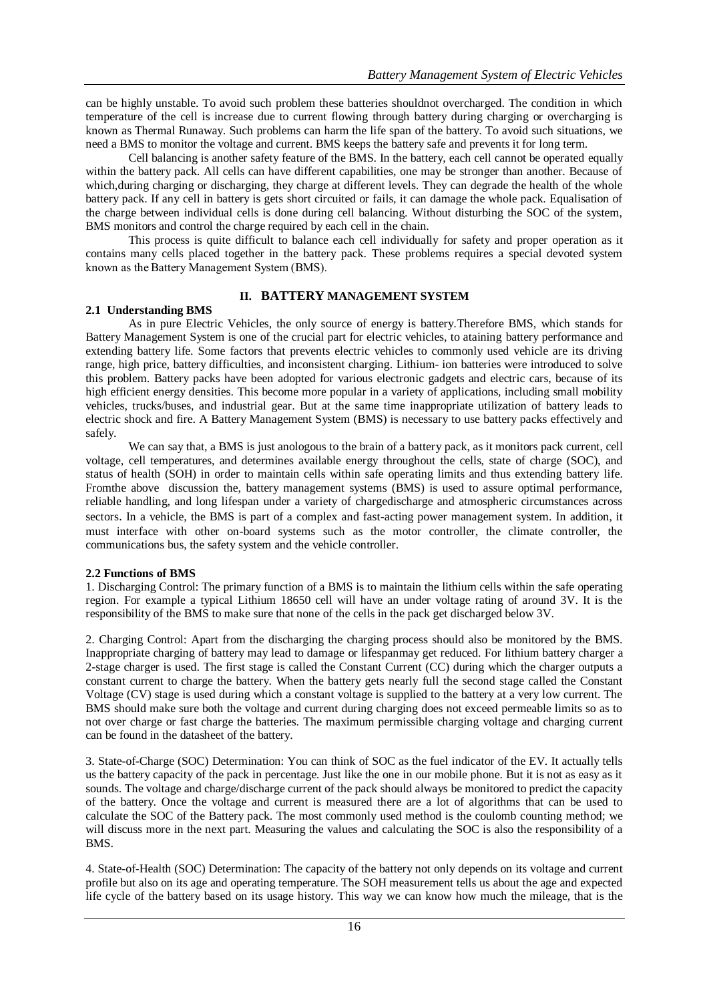can be highly unstable. To avoid such problem these batteries shouldnot overcharged. The condition in which temperature of the cell is increase due to current flowing through battery during charging or overcharging is known as Thermal Runaway. Such problems can harm the life span of the battery. To avoid such situations, we need a BMS to monitor the voltage and current. BMS keeps the battery safe and prevents it for long term.

Cell balancing is another safety feature of the BMS. In the battery, each cell cannot be operated equally within the battery pack. All cells can have different capabilities, one may be stronger than another. Because of which, during charging or discharging, they charge at different levels. They can degrade the health of the whole battery pack. If any cell in battery is gets short circuited or fails, it can damage the whole pack. Equalisation of the charge between individual cells is done during cell balancing. Without disturbing the SOC of the system, BMS monitors and control the charge required by each cell in the chain.

This process is quite difficult to balance each cell individually for safety and proper operation as it contains many cells placed together in the battery pack. These problems requires a special devoted system known as the Battery Management System (BMS).

# **II. BATTERY MANAGEMENT SYSTEM**

## **2.1 Understanding BMS**

As in pure Electric Vehicles, the only source of energy is battery.Therefore BMS, which stands for Battery Management System is one of the crucial part for electric vehicles, to ataining battery performance and extending battery life. Some factors that prevents electric vehicles to commonly used vehicle are its driving range, high price, battery difficulties, and inconsistent charging. Lithium- ion batteries were introduced to solve this problem. Battery packs have been adopted for various electronic gadgets and electric cars, because of its high efficient energy densities. This become more popular in a variety of applications, including small mobility vehicles, trucks/buses, and industrial gear. But at the same time inappropriate utilization of battery leads to electric shock and fire. A Battery Management System (BMS) is necessary to use battery packs effectively and safely.

We can say that, a BMS is just anologous to the brain of a battery pack, as it monitors pack current, cell voltage, cell temperatures, and determines available energy throughout the cells, state of charge (SOC), and status of health (SOH) in order to maintain cells within safe operating limits and thus extending battery life. Fromthe above discussion the, battery management systems (BMS) is used to assure optimal performance, reliable handling, and long lifespan under a variety of chargedischarge and atmospheric circumstances across sectors. In a vehicle, the BMS is part of a complex and fast-acting power management system. In addition, it must interface with other on-board systems such as the motor controller, the climate controller, the communications bus, the safety system and the vehicle controller.

# **2.2 Functions of BMS**

1. Discharging Control: The primary function of a BMS is to maintain the lithium cells within the safe operating region. For example a typical Lithium 18650 cell will have an under voltage rating of around 3V. It is the responsibility of the BMS to make sure that none of the cells in the pack get discharged below 3V.

2. Charging Control: Apart from the discharging the charging process should also be monitored by the BMS. Inappropriate charging of battery may lead to damage or lifespanmay get reduced. For lithium battery charger a 2-stage charger is used. The first stage is called the Constant Current (CC) during which the charger outputs a constant current to charge the battery. When the battery gets nearly full the second stage called the Constant Voltage (CV) stage is used during which a constant voltage is supplied to the battery at a very low current. The BMS should make sure both the voltage and current during charging does not exceed permeable limits so as to not over charge or fast charge the batteries. The maximum permissible charging voltage and charging current can be found in the datasheet of the battery.

3. State-of-Charge (SOC) Determination: You can think of SOC as the fuel indicator of the EV. It actually tells us the battery capacity of the pack in percentage. Just like the one in our mobile phone. But it is not as easy as it sounds. The voltage and charge/discharge current of the pack should always be monitored to predict the capacity of the battery. Once the voltage and current is measured there are a lot of algorithms that can be used to calculate the SOC of the Battery pack. The most commonly used method is the coulomb counting method; we will discuss more in the next part. Measuring the values and calculating the SOC is also the responsibility of a BMS.

4. State-of-Health (SOC) Determination: The capacity of the battery not only depends on its voltage and current profile but also on its age and operating temperature. The SOH measurement tells us about the age and expected life cycle of the battery based on its usage history. This way we can know how much the mileage, that is the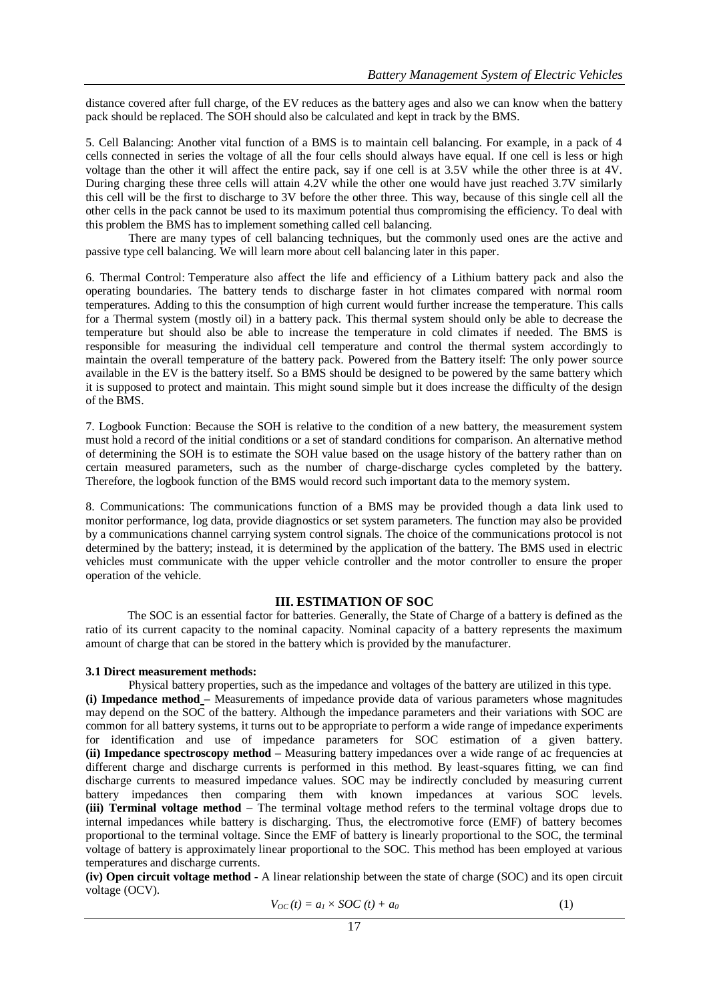distance covered after full charge, of the EV reduces as the battery ages and also we can know when the battery pack should be replaced. The SOH should also be calculated and kept in track by the BMS.

5. Cell Balancing: Another vital function of a BMS is to maintain cell balancing. For example, in a pack of 4 cells connected in series the voltage of all the four cells should always have equal. If one cell is less or high voltage than the other it will affect the entire pack, say if one cell is at 3.5V while the other three is at 4V. During charging these three cells will attain 4.2V while the other one would have just reached 3.7V similarly this cell will be the first to discharge to 3V before the other three. This way, because of this single cell all the other cells in the pack cannot be used to its maximum potential thus compromising the efficiency. To deal with this problem the BMS has to implement something called cell balancing.

There are many types of cell balancing techniques, but the commonly used ones are the active and passive type cell balancing. We will learn more about cell balancing later in this paper.

6. Thermal Control: Temperature also affect the life and efficiency of a Lithium battery pack and also the operating boundaries. The battery tends to discharge faster in hot climates compared with normal room temperatures. Adding to this the consumption of high current would further increase the temperature. This calls for a Thermal system (mostly oil) in a battery pack. This thermal system should only be able to decrease the temperature but should also be able to increase the temperature in cold climates if needed. The BMS is responsible for measuring the individual cell temperature and control the thermal system accordingly to maintain the overall temperature of the battery pack. Powered from the Battery itself: The only power source available in the EV is the battery itself. So a BMS should be designed to be powered by the same battery which it is supposed to protect and maintain. This might sound simple but it does increase the difficulty of the design of the BMS.

7. Logbook Function: Because the SOH is relative to the condition of a new battery, the measurement system must hold a record of the initial conditions or a set of standard conditions for comparison. An alternative method of determining the SOH is to estimate the SOH value based on the usage history of the battery rather than on certain measured parameters, such as the number of charge-discharge cycles completed by the battery. Therefore, the logbook function of the BMS would record such important data to the memory system.

8. Communications: The communications function of a BMS may be provided though a data link used to monitor performance, log data, provide diagnostics or set system parameters. The function may also be provided by a communications channel carrying system control signals. The choice of the communications protocol is not determined by the battery; instead, it is determined by the application of the battery. The BMS used in electric vehicles must communicate with the upper vehicle controller and the motor controller to ensure the proper operation of the vehicle.

## **III. ESTIMATION OF SOC**

The SOC is an essential factor for batteries. Generally, the State of Charge of a battery is defined as the ratio of its current capacity to the nominal capacity. Nominal capacity of a battery represents the maximum amount of charge that can be stored in the battery which is provided by the manufacturer.

## **3.1 Direct measurement methods:**

Physical battery properties, such as the impedance and voltages of the battery are utilized in this type. **(i) Impedance method –** Measurements of impedance provide data of various parameters whose magnitudes may depend on the SOC of the battery. Although the impedance parameters and their variations with SOC are common for all battery systems, it turns out to be appropriate to perform a wide range of impedance experiments for identification and use of impedance parameters for SOC estimation of a given battery. **(ii) Impedance spectroscopy method –** Measuring battery impedances over a wide range of ac frequencies at different charge and discharge currents is performed in this method. By least-squares fitting, we can find discharge currents to measured impedance values. SOC may be indirectly concluded by measuring current battery impedances then comparing them with known impedances at various SOC levels. **(iii) Terminal voltage method** – The terminal voltage method refers to the terminal voltage drops due to internal impedances while battery is discharging. Thus, the electromotive force (EMF) of battery becomes proportional to the terminal voltage. Since the EMF of battery is linearly proportional to the SOC, the terminal voltage of battery is approximately linear proportional to the SOC. This method has been employed at various temperatures and discharge currents.

**(iv) Open circuit voltage method -** A linear relationship between the state of charge (SOC) and its open circuit voltage (OCV).

$$
V_{OC}(t) = a_1 \times SOC(t) + a_0 \tag{1}
$$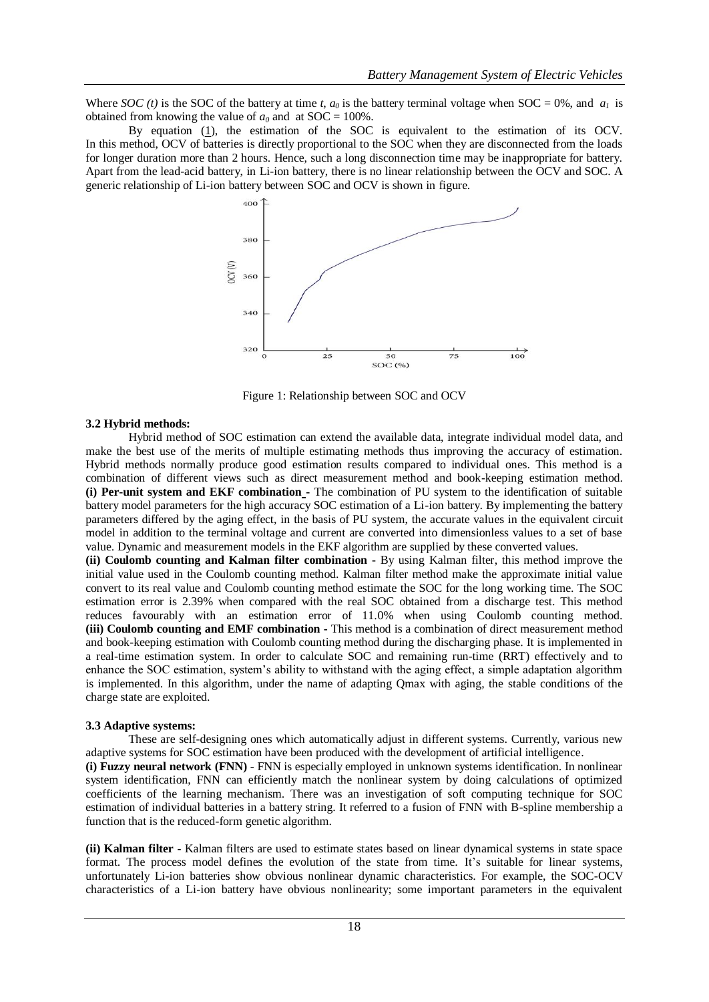Where *SOC* (*t*) is the SOC of the battery at time *t*,  $a_0$  is the battery terminal voltage when SOC = 0%, and  $a_1$  is obtained from knowing the value of  $a_0$  and at SOC = 100%.

By equation [\(1\)](https://www.hindawi.com/journals/isrn/2013/953792/#EEq2), the estimation of the SOC is equivalent to the estimation of its OCV. In this method, OCV of batteries is directly proportional to the SOC when they are disconnected from the loads for longer duration more than 2 hours. Hence, such a long disconnection time may be inappropriate for battery. Apart from the lead-acid battery, in Li-ion battery, there is no linear relationship between the OCV and SOC. A generic relationship of Li-ion battery between SOC and OCV is shown in figure.



Figure 1: Relationship between SOC and OCV

#### **3.2 Hybrid methods:**

Hybrid method of SOC estimation can extend the available data, integrate individual model data, and make the best use of the merits of multiple estimating methods thus improving the accuracy of estimation. Hybrid methods normally produce good estimation results compared to individual ones. This method is a combination of different views such as direct measurement method and book-keeping estimation method. **(i) Per-unit system and EKF combination -** The combination of PU system to the identification of suitable battery model parameters for the high accuracy SOC estimation of a Li-ion battery. By implementing the battery parameters differed by the aging effect, in the basis of PU system, the accurate values in the equivalent circuit model in addition to the terminal voltage and current are converted into dimensionless values to a set of base value. Dynamic and measurement models in the EKF algorithm are supplied by these converted values.

**(ii) Coulomb counting and Kalman filter combination -** By using Kalman filter, this method improve the initial value used in the Coulomb counting method. Kalman filter method make the approximate initial value convert to its real value and Coulomb counting method estimate the SOC for the long working time. The SOC estimation error is 2.39% when compared with the real SOC obtained from a discharge test. This method reduces favourably with an estimation error of 11.0% when using Coulomb counting method. **(iii) Coulomb counting and EMF combination -** This method is a combination of direct measurement method and book-keeping estimation with Coulomb counting method during the discharging phase. It is implemented in a real-time estimation system. In order to calculate SOC and remaining run-time (RRT) effectively and to enhance the SOC estimation, system's ability to withstand with the aging effect, a simple adaptation algorithm is implemented. In this algorithm, under the name of adapting Qmax with aging, the stable conditions of the charge state are exploited.

## **3.3 Adaptive systems:**

These are self-designing ones which automatically adjust in different systems. Currently, various new adaptive systems for SOC estimation have been produced with the development of artificial intelligence.

**(i) Fuzzy neural network (FNN)** - FNN is especially employed in unknown systems identification. In nonlinear system identification, FNN can efficiently match the nonlinear system by doing calculations of optimized coefficients of the learning mechanism. There was an investigation of soft computing technique for SOC estimation of individual batteries in a battery string. It referred to a fusion of FNN with B-spline membership a function that is the reduced-form genetic algorithm.

**(ii) Kalman filter -** Kalman filters are used to estimate states based on linear dynamical systems in state space format. The process model defines the evolution of the state from time. It's suitable for linear systems, unfortunately Li-ion batteries show obvious nonlinear dynamic characteristics. For example, the SOC-OCV characteristics of a Li-ion battery have obvious nonlinearity; some important parameters in the equivalent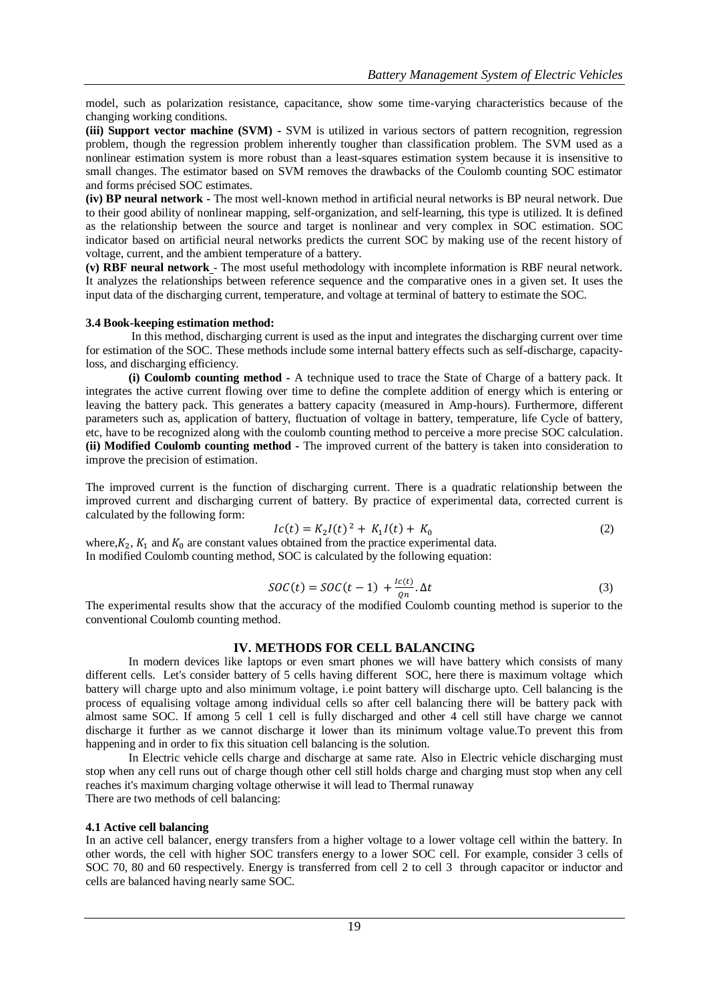model, such as polarization resistance, capacitance, show some time-varying characteristics because of the changing working conditions.

**(iii) Support vector machine (SVM) -** SVM is utilized in various sectors of pattern recognition, regression problem, though the regression problem inherently tougher than classification problem. The SVM used as a nonlinear estimation system is more robust than a least-squares estimation system because it is insensitive to small changes. The estimator based on SVM removes the drawbacks of the Coulomb counting SOC estimator and forms précised SOC estimates.

**(iv) BP neural network -** The most well-known method in artificial neural networks is BP neural network. Due to their good ability of nonlinear mapping, self-organization, and self-learning, this type is utilized. It is defined as the relationship between the source and target is nonlinear and very complex in SOC estimation. SOC indicator based on artificial neural networks predicts the current SOC by making use of the recent history of voltage, current, and the ambient temperature of a battery.

**(v) RBF neural network** - The most useful methodology with incomplete information is RBF neural network. It analyzes the relationships between reference sequence and the comparative ones in a given set. It uses the input data of the discharging current, temperature, and voltage at terminal of battery to estimate the SOC.

## **3.4 Book-keeping estimation method:**

In this method, discharging current is used as the input and integrates the discharging current over time for estimation of the SOC. These methods include some internal battery effects such as self-discharge, capacityloss, and discharging efficiency.

**(i) Coulomb counting method -** A technique used to trace the State of Charge of a battery pack. It integrates the active current flowing over time to define the complete addition of energy which is entering or leaving the battery pack. This generates a battery capacity (measured in Amp-hours). Furthermore, different parameters such as, application of battery, fluctuation of voltage in battery, temperature, life Cycle of battery, etc, have to be recognized along with the coulomb counting method to perceive a more precise SOC calculation. **(ii) Modified Coulomb counting method -** The improved current of the battery is taken into consideration to improve the precision of estimation.

The improved current is the function of discharging current. There is a quadratic relationship between the improved current and discharging current of battery. By practice of experimental data, corrected current is calculated by the following form:

$$
Ic(t) = K_2 I(t)^2 + K_1 I(t) + K_0
$$
 (2)

where,  $K_2$ ,  $K_1$  and  $K_0$  are constant values obtained from the practice experimental data. In modified Coulomb counting method, SOC is calculated by the following equation:

$$
SOC(t) = SOC(t-1) + \frac{lc(t)}{on} \Delta t
$$
\n(3)

The experimental results show that the accuracy of the modified Coulomb counting method is superior to the conventional Coulomb counting method.

# **IV. METHODS FOR CELL BALANCING**

In modern devices like laptops or even smart phones we will have battery which consists of many different cells. Let's consider battery of 5 cells having different SOC, here there is maximum voltage which battery will charge upto and also minimum voltage, i.e point battery will discharge upto. Cell balancing is the process of equalising voltage among individual cells so after cell balancing there will be battery pack with almost same SOC. If among 5 cell 1 cell is fully discharged and other 4 cell still have charge we cannot discharge it further as we cannot discharge it lower than its minimum voltage value.To prevent this from happening and in order to fix this situation cell balancing is the solution.

In Electric vehicle cells charge and discharge at same rate. Also in Electric vehicle discharging must stop when any cell runs out of charge though other cell still holds charge and charging must stop when any cell reaches it's maximum charging voltage otherwise it will lead to Thermal runaway There are two methods of cell balancing:

## **4.1 Active cell balancing**

In an active cell balancer, energy transfers from a higher voltage to a lower voltage cell within the battery. In other words, the cell with higher SOC transfers energy to a lower SOC cell. For example, consider 3 cells of SOC 70, 80 and 60 respectively. Energy is transferred from cell 2 to cell 3 through capacitor or inductor and cells are balanced having nearly same SOC.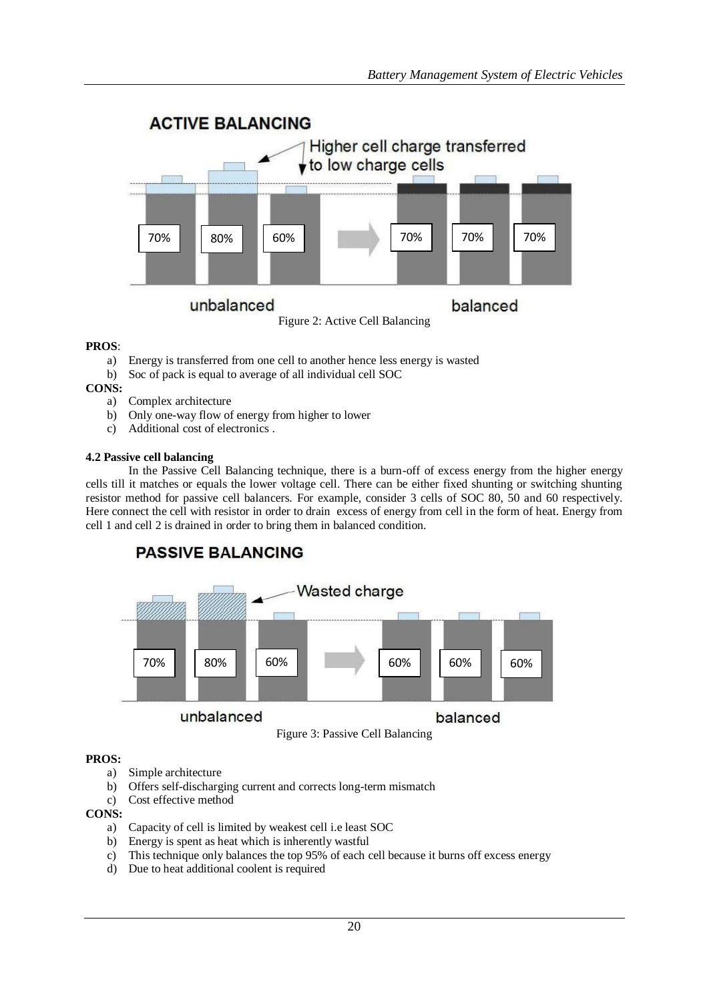

# **PROS**:

- a) Energy is transferred from one cell to another hence less energy is wasted
- b) Soc of pack is equal to average of all individual cell SOC

**CONS:**

- a) Complex architecture
- b) Only one-way flow of energy from higher to lower
- c) Additional cost of electronics .

## **4.2 Passive cell balancing**

In the Passive Cell Balancing technique, there is a burn-off of excess energy from the higher energy cells till it matches or equals the lower voltage cell. There can be either fixed shunting or switching shunting resistor method for passive cell balancers. For example, consider 3 cells of SOC 80, 50 and 60 respectively. Here connect the cell with resistor in order to drain excess of energy from cell in the form of heat. Energy from cell 1 and cell 2 is drained in order to bring them in balanced condition.



# **PROS:**

- a) Simple architecture
- b) Offers self-discharging current and corrects long-term mismatch
- c) Cost effective method

# **CONS:**

- a) Capacity of cell is limited by weakest cell i.e least SOC
- b) Energy is spent as heat which is inherently wastful
- c) This technique only balances the top 95% of each cell because it burns off excess energy
- d) Due to heat additional coolent is required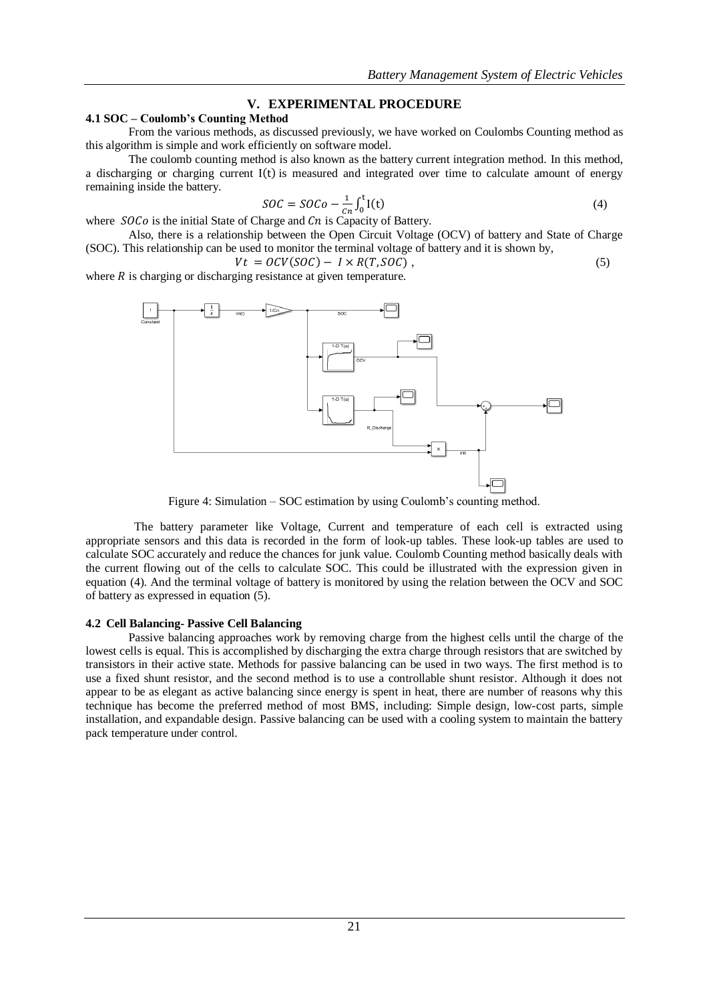# **V. EXPERIMENTAL PROCEDURE**

# **4.1 SOC – Coulomb's Counting Method**

From the various methods, as discussed previously, we have worked on Coulombs Counting method as this algorithm is simple and work efficiently on software model.

The coulomb counting method is also known as the battery current integration method. In this method, a discharging or charging current  $I(t)$  is measured and integrated over time to calculate amount of energy remaining inside the battery.

$$
SOC = SOCo - \frac{1}{C} \int_0^t I(t) \tag{4}
$$

 $SOC = SOC - \frac{1}{cn} \int_0^c I(t)$ <br>where  $SOCo$  is the initial State of Charge and Cn is Capacity of Battery.

Also, there is a relationship between the Open Circuit Voltage (OCV) of battery and State of Charge (SOC). This relationship can be used to monitor the terminal voltage of battery and it is shown by,

$$
Vt = OCV(SOC) - I \times R(T, SOC), \qquad (5)
$$

where  $R$  is charging or discharging resistance at given temperature.



Figure 4: Simulation – SOC estimation by using Coulomb's counting method.

 The battery parameter like Voltage, Current and temperature of each cell is extracted using appropriate sensors and this data is recorded in the form of look-up tables. These look-up tables are used to calculate SOC accurately and reduce the chances for junk value. Coulomb Counting method basically deals with the current flowing out of the cells to calculate SOC. This could be illustrated with the expression given in equation (4). And the terminal voltage of battery is monitored by using the relation between the OCV and SOC of battery as expressed in equation (5).

#### **4.2 Cell Balancing- Passive Cell Balancing**

Passive balancing approaches work by removing charge from the highest cells until the charge of the lowest cells is equal. This is accomplished by discharging the extra charge through resistors that are switched by transistors in their active state. Methods for passive balancing can be used in two ways. The first method is to use a fixed shunt resistor, and the second method is to use a controllable shunt resistor. Although it does not appear to be as elegant as active balancing since energy is spent in heat, there are number of reasons why this technique has become the preferred method of most BMS, including: Simple design, low-cost parts, simple installation, and expandable design. Passive balancing can be used with a cooling system to maintain the battery pack temperature under control.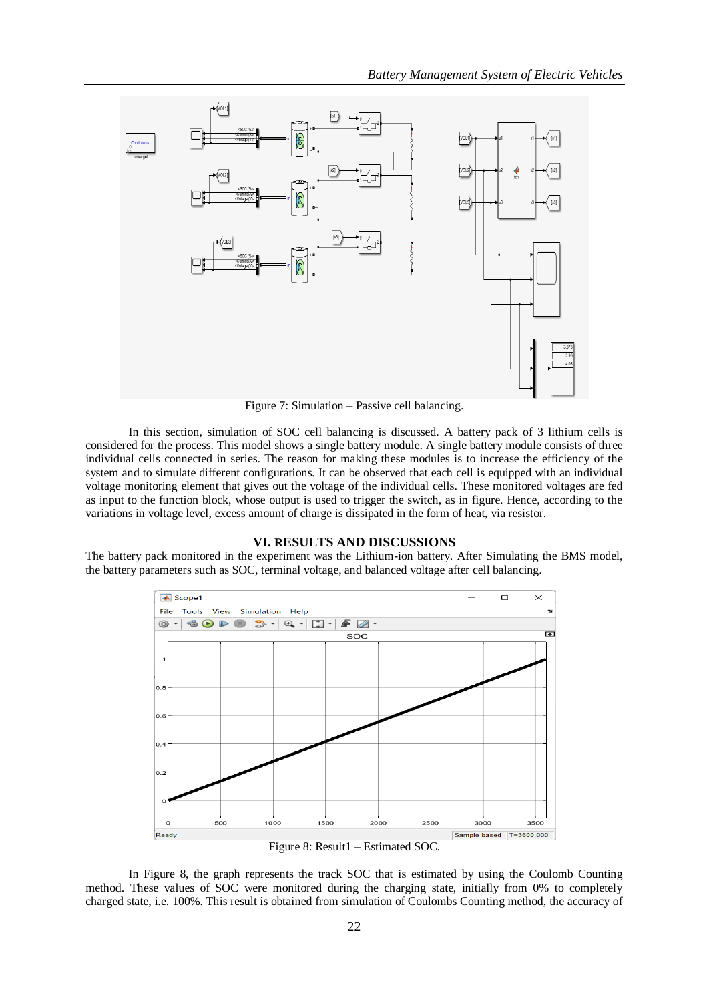

Figure 7: Simulation – Passive cell balancing.

In this section, simulation of SOC cell balancing is discussed. A battery pack of 3 lithium cells is considered for the process. This model shows a single battery module. A single battery module consists of three individual cells connected in series. The reason for making these modules is to increase the efficiency of the system and to simulate different configurations. It can be observed that each cell is equipped with an individual voltage monitoring element that gives out the voltage of the individual cells. These monitored voltages are fed as input to the function block, whose output is used to trigger the switch, as in figure. Hence, according to the variations in voltage level, excess amount of charge is dissipated in the form of heat, via resistor.

# **VI. RESULTS AND DISCUSSIONS**

The battery pack monitored in the experiment was the Lithium-ion battery. After Simulating the BMS model, the battery parameters such as SOC, terminal voltage, and balanced voltage after cell balancing.



In Figure 8, the graph represents the track SOC that is estimated by using the Coulomb Counting method. These values of SOC were monitored during the charging state, initially from 0% to completely charged state, i.e. 100%. This result is obtained from simulation of Coulombs Counting method, the accuracy of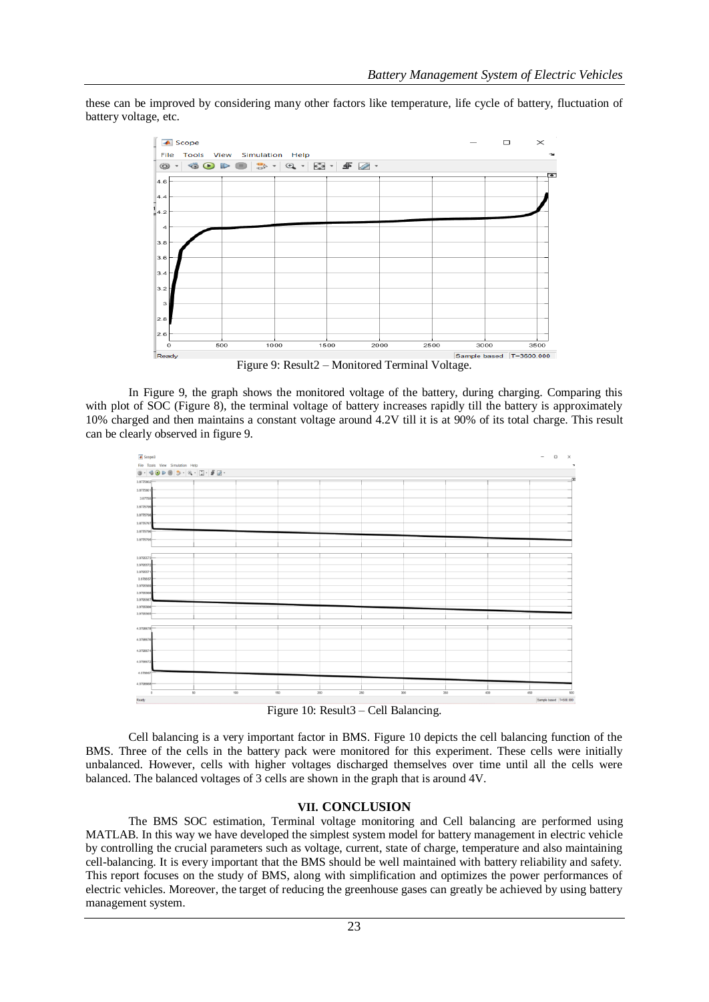these can be improved by considering many other factors like temperature, life cycle of battery, fluctuation of battery voltage, etc.



Figure 9: Result2 – Monitored Terminal Voltage.

In Figure 9, the graph shows the monitored voltage of the battery, during charging. Comparing this with plot of SOC (Figure 8), the terminal voltage of battery increases rapidly till the battery is approximately 10% charged and then maintains a constant voltage around 4.2V till it is at 90% of its total charge. This result can be clearly observed in figure 9.



Figure 10: Result3 – Cell Balancing.

Cell balancing is a very important factor in BMS. Figure 10 depicts the cell balancing function of the BMS. Three of the cells in the battery pack were monitored for this experiment. These cells were initially unbalanced. However, cells with higher voltages discharged themselves over time until all the cells were balanced. The balanced voltages of 3 cells are shown in the graph that is around 4V.

# **VII. CONCLUSION**

The BMS SOC estimation, Terminal voltage monitoring and Cell balancing are performed using MATLAB. In this way we have developed the simplest system model for battery management in electric vehicle by controlling the crucial parameters such as voltage, current, state of charge, temperature and also maintaining cell-balancing. It is every important that the BMS should be well maintained with battery reliability and safety. This report focuses on the study of BMS, along with simplification and optimizes the power performances of electric vehicles. Moreover, the target of reducing the greenhouse gases can greatly be achieved by using battery management system.